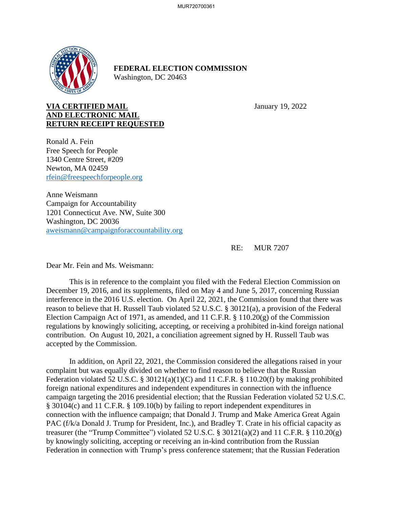

## **FEDERAL ELECTION COMMISSION** Washington, DC 20463

## **VIA CERTIFIED MAIL** January 19, 2022 **AND ELECTRONIC MAIL RETURN RECEIPT REQUESTED**

Ronald A. Fein Free Speech for People 1340 Centre Street, #209 Newton, MA 02459 rfein@freespeechforpeople.org

Anne Weismann Campaign for Accountability 1201 Connecticut Ave. NW, Suite 300 Washington, DC 20036 aweismann@campaignforaccountability.org

RE: MUR 7207

Dear Mr. Fein and Ms. Weismann:

This is in reference to the complaint you filed with the Federal Election Commission on December 19, 2016, and its supplements, filed on May 4 and June 5, 2017, concerning Russian interference in the 2016 U.S. election. On April 22, 2021, the Commission found that there was reason to believe that H. Russell Taub violated 52 U.S.C. § 30121(a), a provision of the Federal Election Campaign Act of 1971, as amended, and 11 C.F.R. § 110.20(g) of the Commission regulations by knowingly soliciting, accepting, or receiving a prohibited in-kind foreign national contribution. On August 10, 2021, a conciliation agreement signed by H. Russell Taub was accepted by the Commission.

In addition, on April 22, 2021, the Commission considered the allegations raised in your complaint but was equally divided on whether to find reason to believe that the Russian Federation violated 52 U.S.C. § 30121(a)(1)(C) and 11 C.F.R. § 110.20(f) by making prohibited foreign national expenditures and independent expenditures in connection with the influence campaign targeting the 2016 presidential election; that the Russian Federation violated 52 U.S.C. § 30104(c) and 11 C.F.R. § 109.10(b) by failing to report independent expenditures in connection with the influence campaign; that Donald J. Trump and Make America Great Again PAC (f/k/a Donald J. Trump for President, Inc.), and Bradley T. Crate in his official capacity as treasurer (the "Trump Committee") violated 52 U.S.C.  $\S$  30121(a)(2) and 11 C.F.R.  $\S$  110.20(g) by knowingly soliciting, accepting or receiving an in-kind contribution from the Russian Federation in connection with Trump's press conference statement; that the Russian Federation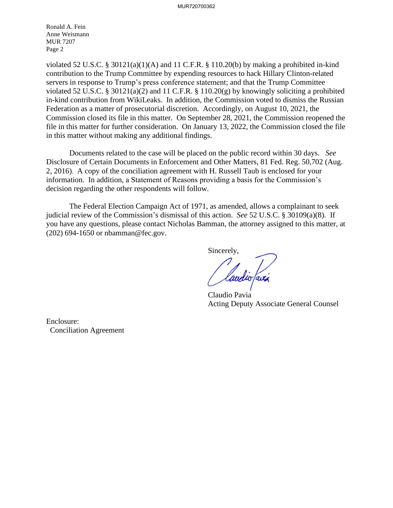Ronald A. Fein Anne Weismann MUR 7207 Page 2

violated 52 U.S.C. § 30121(a)(1)(A) and 11 C.F.R. § 110.20(b) by making a prohibited in-kind contribution to the Trump Committee by expending resources to hack Hillary Clinton-related servers in response to Trump's press conference statement; and that the Trump Committee violated 52 U.S.C. § 30121(a)(2) and 11 C.F.R. § 110.20(g) by knowingly soliciting a prohibited in-kind contribution from WikiLeaks. In addition, the Commission voted to dismiss the Russian Federation as a matter of prosecutorial discretion. Accordingly, on August 10, 2021, the Commission closed its file in this matter. On September 28, 2021, the Commission reopened the file in this matter for further consideration. On January 13, 2022, the Commission closed the file in this matter without making any additional findings.

Documents related to the case will be placed on the public record within 30 days. *See*  Disclosure of Certain Documents in Enforcement and Other Matters*,* 81 Fed. Reg. 50,702 (Aug. 2, 2016). A copy of the conciliation agreement with H. Russell Taub is enclosed for your information. In addition, a Statement of Reasons providing a basis for the Commission's decision regarding the other respondents will follow.

The Federal Election Campaign Act of 1971, as amended, allows a complainant to seek judicial review of the Commission's dismissal of this action. *See* 52 U.S.C. § 30109(a)(8). If you have any questions, please contact Nicholas Bamman, the attorney assigned to this matter, at (202) 694-1650 or nbamman@fec.gov.

Sincerely,

/ laudio favi

Claudio Pavia Acting Deputy Associate General Counsel

Enclosure: Conciliation Agreement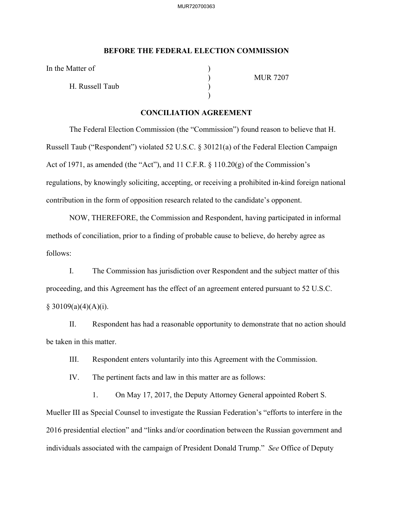## **BEFORE THE FEDERAL ELECTION COMMISSION**

In the Matter of

H. Russell Taub )

 $)$ 

) MUR 7207

## **CONCILIATION AGREEMENT**

The Federal Election Commission (the "Commission") found reason to believe that H. Russell Taub ("Respondent") violated 52 U.S.C. § 30121(a) of the Federal Election Campaign Act of 1971, as amended (the "Act"), and 11 C.F.R. § 110.20(g) of the Commission's regulations, by knowingly soliciting, accepting, or receiving a prohibited in-kind foreign national contribution in the form of opposition research related to the candidate's opponent.

NOW, THEREFORE, the Commission and Respondent, having participated in informal methods of conciliation, prior to a finding of probable cause to believe, do hereby agree as follows:

I. The Commission has jurisdiction over Respondent and the subject matter of this proceeding, and this Agreement has the effect of an agreement entered pursuant to 52 U.S.C.  $§ 30109(a)(4)(A)(i).$ 

II. Respondent has had a reasonable opportunity to demonstrate that no action should be taken in this matter.

III. Respondent enters voluntarily into this Agreement with the Commission.

IV. The pertinent facts and law in this matter are as follows:

1. On May 17, 2017, the Deputy Attorney General appointed Robert S. Mueller III as Special Counsel to investigate the Russian Federation's "efforts to interfere in the 2016 presidential election" and "links and/or coordination between the Russian government and individuals associated with the campaign of President Donald Trump." *See* Office of Deputy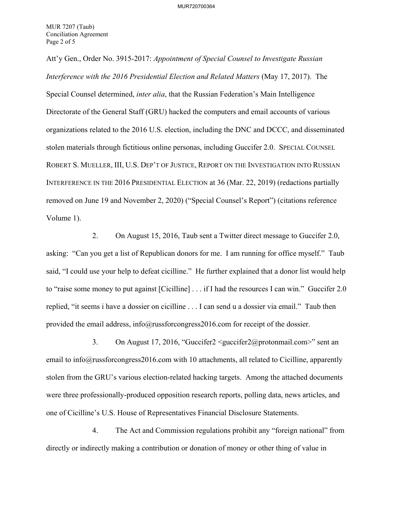Att'y Gen., Order No. 3915-2017: *Appointment of Special Counsel to Investigate Russian Interference with the 2016 Presidential Election and Related Matters* (May 17, 2017). The Special Counsel determined, *inter alia*, that the Russian Federation's Main Intelligence Directorate of the General Staff (GRU) hacked the computers and email accounts of various organizations related to the 2016 U.S. election, including the DNC and DCCC, and disseminated stolen materials through fictitious online personas, including Guccifer 2.0. SPECIAL COUNSEL ROBERT S. MUELLER, III, U.S. DEP'T OF JUSTICE, REPORT ON THE INVESTIGATION INTO RUSSIAN INTERFERENCE IN THE 2016 PRESIDENTIAL ELECTION at 36 (Mar. 22, 2019) (redactions partially removed on June 19 and November 2, 2020) ("Special Counsel's Report") (citations reference Volume 1).

2. On August 15, 2016, Taub sent a Twitter direct message to Guccifer 2.0, asking: "Can you get a list of Republican donors for me. I am running for office myself." Taub said, "I could use your help to defeat cicilline." He further explained that a donor list would help to "raise some money to put against [Cicilline] . . . if I had the resources I can win." Guccifer 2.0 replied, "it seems i have a dossier on cicilline . . . I can send u a dossier via email." Taub then provided the email address, info@russforcongress2016.com for receipt of the dossier.

3. On August 17, 2016, "Guccifer2 <guccifer2@protonmail.com>" sent an email to info@russforcongress2016.com with 10 attachments, all related to Cicilline, apparently stolen from the GRU's various election-related hacking targets. Among the attached documents were three professionally-produced opposition research reports, polling data, news articles, and one of Cicilline's U.S. House of Representatives Financial Disclosure Statements.

4. The Act and Commission regulations prohibit any "foreign national" from directly or indirectly making a contribution or donation of money or other thing of value in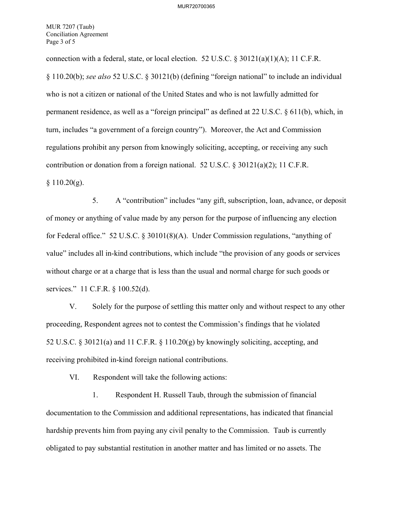MUR 7207 (Taub) Conciliation Agreement Page 3 of 5

connection with a federal, state, or local election. 52 U.S.C.  $\frac{830121(a)(1)(A)}{1}$ ; 11 C.F.R. § 110.20(b); *see also* 52 U.S.C. § 30121(b) (defining "foreign national" to include an individual who is not a citizen or national of the United States and who is not lawfully admitted for permanent residence, as well as a "foreign principal" as defined at 22 U.S.C. § 611(b), which, in turn, includes "a government of a foreign country"). Moreover, the Act and Commission regulations prohibit any person from knowingly soliciting, accepting, or receiving any such contribution or donation from a foreign national. 52 U.S.C. § 30121(a)(2); 11 C.F.R.  $§ 110.20(g).$ 

5. A "contribution" includes "any gift, subscription, loan, advance, or deposit of money or anything of value made by any person for the purpose of influencing any election for Federal office." 52 U.S.C. § 30101(8)(A). Under Commission regulations, "anything of value" includes all in-kind contributions, which include "the provision of any goods or services without charge or at a charge that is less than the usual and normal charge for such goods or services." 11 C.F.R. § 100.52(d).

V. Solely for the purpose of settling this matter only and without respect to any other proceeding, Respondent agrees not to contest the Commission's findings that he violated 52 U.S.C. § 30121(a) and 11 C.F.R. § 110.20(g) by knowingly soliciting, accepting, and receiving prohibited in-kind foreign national contributions.

VI. Respondent will take the following actions:

1. Respondent H. Russell Taub, through the submission of financial documentation to the Commission and additional representations, has indicated that financial hardship prevents him from paying any civil penalty to the Commission. Taub is currently obligated to pay substantial restitution in another matter and has limited or no assets. The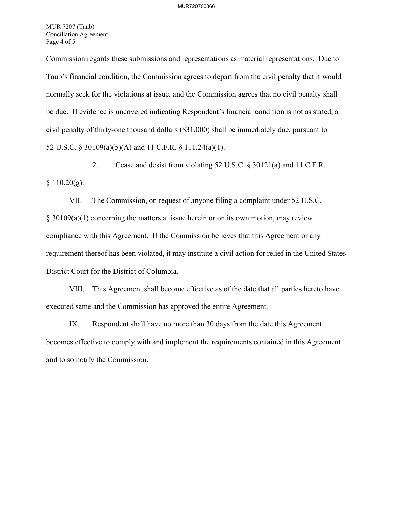MUR 7207 (Taub) Conciliation Agreement Page 4 of 5

Commission regards these submissions and representations as material representations. Due to Taub's financial condition, the Commission agrees to depart from the civil penalty that it would normally seek for the violations at issue, and the Commission agrees that no civil penalty shall be due. If evidence is uncovered indicating Respondent's financial condition is not as stated, a civil penalty of thirty-one thousand dollars (\$31,000) shall be immediately due, pursuant to 52 U.S.C. § 30109(a)(5)(A) and 11 C.F.R. § 111.24(a)(1).

2. Cease and desist from violating 52 U.S.C. § 30121(a) and 11 C.F.R.  $§ 110.20(g).$ 

VII. The Commission, on request of anyone filing a complaint under 52 U.S.C. § 30109(a)(1) concerning the matters at issue herein or on its own motion, may review compliance with this Agreement. If the Commission believes that this Agreement or any requirement thereof has been violated, it may institute a civil action for relief in the United States District Court for the District of Columbia.

VIII. This Agreement shall become effective as of the date that all parties hereto have executed same and the Commission has approved the entire Agreement.

IX. Respondent shall have no more than 30 days from the date this Agreement becomes effective to comply with and implement the requirements contained in this Agreement and to so notify the Commission.